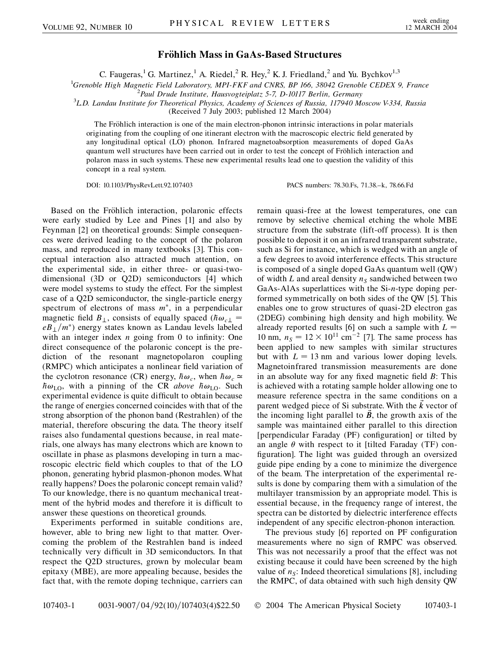## **Fro¨hlich Mass in GaAs-Based Structures**

C. Faugeras,<sup>1</sup> G. Martinez,<sup>1</sup> A. Riedel,<sup>2</sup> R. Hey,<sup>2</sup> K. J. Friedland,<sup>2</sup> and Yu. Bychkov<sup>1,3</sup>

<sup>1</sup>Grenoble High Magnetic Field Laboratory, MPI-FKF and CNRS, BP 166, 38042 Grenoble CEDEX 9, France

*Paul Drude Institute, Hausvogteiplatz 5-7, D-10117 Berlin, Germany* <sup>3</sup>

*L.D. Landau Institute for Theoretical Physics, Academy of Sciences of Russia, 117940 Moscow V-334, Russia*

(Received 7 July 2003; published 12 March 2004)

The Fröhlich interaction is one of the main electron-phonon intrinsic interactions in polar materials originating from the coupling of one itinerant electron with the macroscopic electric field generated by any longitudinal optical (LO) phonon. Infrared magnetoabsorption measurements of doped GaAs quantum well structures have been carried out in order to test the concept of Fröhlich interaction and polaron mass in such systems. These new experimental results lead one to question the validity of this concept in a real system.

DOI: 10.1103/PhysRevLett.92.107403 PACS numbers: 78.30.Fs, 71.38.–k, 78.66.Fd

Based on the Fröhlich interaction, polaronic effects were early studied by Lee and Pines [1] and also by Feynman [2] on theoretical grounds: Simple consequences were derived leading to the concept of the polaron mass, and reproduced in many textbooks [3]. This conceptual interaction also attracted much attention, on the experimental side, in either three- or quasi-twodimensional (3D or Q2D) semiconductors [4] which were model systems to study the effect. For the simplest case of a Q2D semiconductor, the single-particle energy spectrum of electrons of mass  $m^*$ , in a perpendicular magnetic field  $B_{\perp}$ , consists of equally spaced ( $\hbar \omega_{c\perp}$ )  $eB_{\perp}/m^*$ ) energy states known as Landau levels labeled with an integer index *n* going from 0 to infinity: One direct consequence of the polaronic concept is the prediction of the resonant magnetopolaron coupling (RMPC) which anticipates a nonlinear field variation of the cyclotron resonance (CR) energy,  $\hbar \omega_c$ , when  $\hbar \omega_c \approx$  $\hbar \omega_{\text{LO}}$ , with a pinning of the CR *above*  $\hbar \omega_{\text{LO}}$ . Such experimental evidence is quite difficult to obtain because the range of energies concerned coincides with that of the strong absorption of the phonon band (Restrahlen) of the material, therefore obscuring the data. The theory itself raises also fundamental questions because, in real materials, one always has many electrons which are known to oscillate in phase as plasmons developing in turn a macroscopic electric field which couples to that of the LO phonon, generating hybrid plasmon-phonon modes. What really happens? Does the polaronic concept remain valid? To our knowledge, there is no quantum mechanical treatment of the hybrid modes and therefore it is difficult to answer these questions on theoretical grounds.

Experiments performed in suitable conditions are, however, able to bring new light to that matter. Overcoming the problem of the Restrahlen band is indeed technically very difficult in 3D semiconductors. In that respect the Q2D structures, grown by molecular beam epitaxy (MBE), are more appealing because, besides the fact that, with the remote doping technique, carriers can remain quasi-free at the lowest temperatures, one can remove by selective chemical etching the whole MBE structure from the substrate (lift-off process). It is then possible to deposit it on an infrared transparent substrate, such as Si for instance, which is wedged with an angle of a few degrees to avoid interference effects. This structure is composed of a single doped GaAs quantum well (QW) of width *L* and areal density  $n<sub>S</sub>$  sandwiched between two GaAs-AlAs superlattices with the Si-*n*-type doping performed symmetrically on both sides of the QW [5]. This enables one to grow structures of quasi-2D electron gas (2DEG) combining high density and high mobility. We already reported results [6] on such a sample with  $L =$ 10 nm,  $n_s = 12 \times 10^{11}$  cm<sup>-2</sup> [7]. The same process has been applied to new samples with similar structures but with  $L = 13$  nm and various lower doping levels. Magnetoinfrared transmission measurements are done in an absolute way for any fixed magnetic field *B*: This is achieved with a rotating sample holder allowing one to measure reference spectra in the same conditions on a parent wedged piece of Si substrate. With the  $\vec{k}$  vector of the incoming light parallel to *B~*, the growth axis of the sample was maintained either parallel to this direction [perpendicular Faraday (PF) configuration] or tilted by an angle  $\theta$  with respect to it [tilted Faraday (TF) configuration]. The light was guided through an oversized guide pipe ending by a cone to minimize the divergence of the beam. The interpretation of the experimental results is done by comparing them with a simulation of the multilayer transmission by an appropriate model. This is essential because, in the frequency range of interest, the spectra can be distorted by dielectric interference effects independent of any specific electron-phonon interaction.

The previous study [6] reported on PF configuration measurements where no sign of RMPC was observed. This was not necessarily a proof that the effect was not existing because it could have been screened by the high value of  $n<sub>S</sub>$ : Indeed theoretical simulations [8], including the RMPC, of data obtained with such high density QW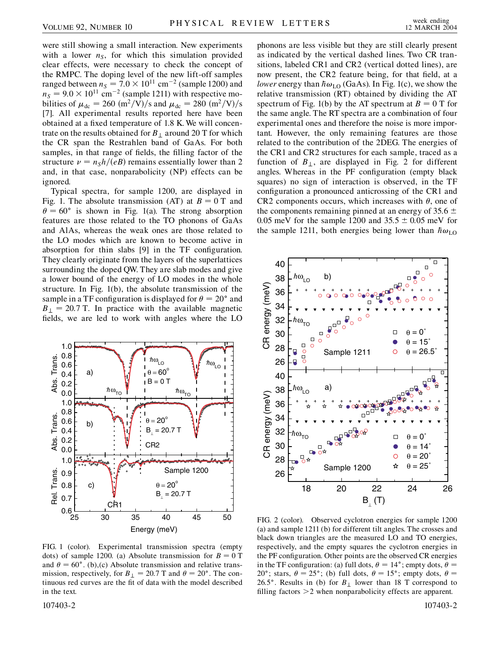were still showing a small interaction. New experiments with a lower  $n<sub>S</sub>$ , for which this simulation provided clear effects, were necessary to check the concept of the RMPC. The doping level of the new lift-off samples ranged between  $n<sub>S</sub> = 7.0 \times 10^{11}$  cm<sup>-2</sup> (sample 1200) and  $n_S = 9.0 \times 10^{11}$  cm<sup>-2</sup> (sample 1211) with respective mobilities of  $\mu_{dc} = 260 \frac{m^2}{V}$ *s* and  $\mu_{dc} = 280 \frac{m^2}{V}$ *s* [7]. All experimental results reported here have been obtained at a fixed temperature of 1.8 K. We will concentrate on the results obtained for  $B_{\perp}$  around 20 T for which the CR span the Restrahlen band of GaAs. For both samples, in that range of fields, the filling factor of the structure  $\nu = n<sub>S</sub>h/(eB)$  remains essentially lower than 2 and, in that case, nonparabolicity (NP) effects can be ignored.

Typical spectra, for sample 1200, are displayed in Fig. 1. The absolute transmission (AT) at  $B = 0$  T and  $\theta = 60^{\circ}$  is shown in Fig. 1(a). The strong absorption features are those related to the TO phonons of GaAs and AlAs, whereas the weak ones are those related to the LO modes which are known to become active in absorption for thin slabs [9] in the TF configuration. They clearly originate from the layers of the superlattices surrounding the doped QW. They are slab modes and give a lower bound of the energy of LO modes in the whole structure. In Fig. 1(b), the absolute transmission of the sample in a TF configuration is displayed for  $\theta = 20^{\circ}$  and  $B_{\perp}$  = 20.7 T. In practice with the available magnetic fields, we are led to work with angles where the LO



FIG. 1 (color). Experimental transmission spectra (empty dots) of sample 1200. (a) Absolute transmission for  $B = 0$  T and  $\theta = 60^{\circ}$ . (b),(c) Absolute transmission and relative transmission, respectively, for  $B_{\perp} = 20.7$  T and  $\theta = 20^{\circ}$ . The continuous red curves are the fit of data with the model described in the text.

phonons are less visible but they are still clearly present as indicated by the vertical dashed lines. Two CR transitions, labeled CR1 and CR2 (vertical dotted lines), are now present, the CR2 feature being, for that field, at a *lower* energy than  $\hbar \omega_{LO}$  (GaAs). In Fig. 1(c), we show the relative transmission (RT) obtained by dividing the AT spectrum of Fig. 1(b) by the AT spectrum at  $B = 0$  T for the same angle. The RT spectra are a combination of four experimental ones and therefore the noise is more important. However, the only remaining features are those related to the contribution of the 2DEG. The energies of the CR1 and CR2 structures for each sample, traced as a function of  $B_{\perp}$ , are displayed in Fig. 2 for different angles. Whereas in the PF configuration (empty black squares) no sign of interaction is observed, in the TF configuration a pronounced anticrossing of the CR1 and CR2 components occurs, which increases with  $\theta$ , one of the components remaining pinned at an energy of  $35.6 \pm$ 0.05 meV for the sample 1200 and  $35.5 \pm 0.05$  meV for the sample 1211, both energies being lower than  $\hbar \omega_{\text{LO}}$ 



FIG. 2 (color). Observed cyclotron energies for sample 1200 (a) and sample 1211 (b) for different tilt angles. The crosses and black down triangles are the measured LO and TO energies, respectively, and the empty squares the cyclotron energies in the PF configuration. Other points are the observed CR energies in the TF configuration: (a) full dots,  $\theta = 14^\circ$ ; empty dots,  $\theta =$ 20°; stars,  $\theta = 25^\circ$ ; (b) full dots,  $\theta = 15^\circ$ ; empty dots,  $\theta =$ 26.5 $\degree$ . Results in (b) for  $B_{\perp}$  lower than 18 T correspond to filling factors *>*2 when nonparabolicity effects are apparent.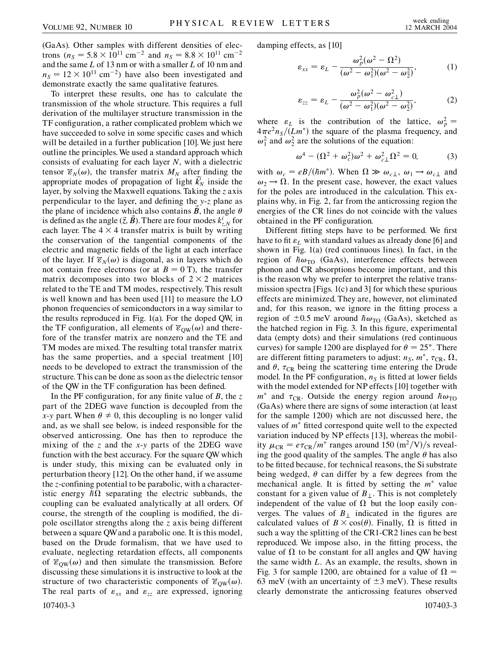(GaAs). Other samples with different densities of electrons ( $n_S = 5.8 \times 10^{11}$  cm<sup>-2</sup> and  $n_S = 8.8 \times 10^{11}$  cm<sup>-2</sup> and the same *L* of 13 nm or with a smaller *L* of 10 nm and  $n<sub>S</sub> = 12 \times 10^{11}$  cm<sup>-2</sup>) have also been investigated and demonstrate exactly the same qualitative features.

To interpret these results, one has to calculate the transmission of the whole structure. This requires a full derivation of the multilayer structure transmission in the TF configuration, a rather complicated problem which we have succeeded to solve in some specific cases and which will be detailed in a further publication [10]. We just here outline the principles. We used a standard approach which consists of evaluating for each layer *N*, with a dielectric tensor  $\mathcal{E}_N(\omega)$ , the transfer matrix  $M_N$  after finding the appropriate modes of propagation of light  $\vec{k}'_N$  inside the layer, by solving the Maxwell equations. Taking the *z* axis perpendicular to the layer, and defining the *y*-*z* plane as the plane of incidence which also contains  $\vec{B}$ , the angle  $\theta$ is defined as the angle  $(\vec{z}, \vec{B})$ . There are four modes  $k_{z,N}^i$  for each layer. The  $4 \times 4$  transfer matrix is built by writing the conservation of the tangential components of the electric and magnetic fields of the light at each interface of the layer. If  $\mathcal{E}_N(\omega)$  is diagonal, as in layers which do not contain free electrons (or at  $B = 0$  T), the transfer matrix decomposes into two blocks of  $2 \times 2$  matrices related to the TE and TM modes, respectively. This result is well known and has been used [11] to measure the LO phonon frequencies of semiconductors in a way similar to the results reproduced in Fig. 1(a). For the doped QW, in the TF configuration, all elements of  $\overline{\epsilon}_{\text{QW}}(\omega)$  and therefore of the transfer matrix are nonzero and the TE and TM modes are mixed. The resulting total transfer matrix has the same properties, and a special treatment [10] needs to be developed to extract the transmission of the structure. This can be done as soon as the dielectric tensor of the QW in the TF configuration has been defined.

In the PF configuration, for any finite value of *B*, the *z* part of the 2DEG wave function is decoupled from the *x*-*y* part. When  $\theta \neq 0$ , this decoupling is no longer valid and, as we shall see below, is indeed responsible for the observed anticrossing. One has then to reproduce the mixing of the *z* and the *x*-*y* parts of the 2DEG wave function with the best accuracy. For the square QW which is under study, this mixing can be evaluated only in perturbation theory [12]. On the other hand, if we assume the *z*-confining potential to be parabolic, with a characteristic energy  $\hbar \Omega$  separating the electric subbands, the coupling can be evaluated analytically at all orders. Of course, the strength of the coupling is modified, the dipole oscillator strengths along the *z* axis being different between a square QWand a parabolic one. It is this model, based on the Drude formalism, that we have used to evaluate, neglecting retardation effects, all components of  $\overline{\epsilon}_{\text{QW}}(\omega)$  and then simulate the transmission. Before discussing these simulations it is instructive to look at the structure of two characteristic components of  $\vec{\epsilon}_{QW}(\omega)$ . The real parts of  $\varepsilon_{xx}$  and  $\varepsilon_{zz}$  are expressed, ignoring 107403-3 107403-3

damping effects, as [10]

$$
\varepsilon_{xx} = \varepsilon_L - \frac{\omega_p^2(\omega^2 - \Omega^2)}{(\omega^2 - \omega_1^2)(\omega^2 - \omega_2^2)},
$$
 (1)

$$
\varepsilon_{zz} = \varepsilon_L - \frac{\omega_p^2(\omega^2 - \omega_{c\perp}^2)}{(\omega^2 - \omega_1^2)(\omega^2 - \omega_2^2)},
$$
 (2)

where  $\varepsilon_L$  is the contribution of the lattice,  $\omega_p^2 =$  $4\pi e^2 n_S/(Lm^*)$  the square of the plasma frequency, and  $\omega_1^2$  and  $\omega_2^2$  are the solutions of the equation:

$$
\omega^4 - (\Omega^2 + \omega_c^2)\omega^2 + \omega_{c\perp}^2\Omega^2 = 0,\tag{3}
$$

with  $\omega_c = eB/(\hbar m^*)$ . When  $\Omega \gg \omega_{c\perp}, \omega_1 \rightarrow \omega_{c\perp}$  and  $\omega_2 \rightarrow \Omega$ . In the present case, however, the exact values for the poles are introduced in the calculation. This explains why, in Fig. 2, far from the anticrossing region the energies of the CR lines do not coincide with the values obtained in the PF configuration.

Different fitting steps have to be performed. We first have to fit  $\varepsilon_L$  with standard values as already done [6] and shown in Fig. 1(a) (red continuous lines). In fact, in the region of  $\hbar \omega_{\text{TO}}$  (GaAs), interference effects between phonon and CR absorptions become important, and this is the reason why we prefer to interpret the relative transmission spectra [Figs. 1(c) and 3] for which these spurious effects are minimized. They are, however, not eliminated and, for this reason, we ignore in the fitting process a region of  $\pm 0.5$  meV around  $\hbar \omega_{\text{TO}}$  (GaAs), sketched as the hatched region in Fig. 3. In this figure, experimental data (empty dots) and their simulations (red continuous curves) for sample 1200 are displayed for  $\theta = 25^{\circ}$ . There are different fitting parameters to adjust:  $n_S$ ,  $m^*$ ,  $\tau_{CR}$ ,  $\Omega$ , and  $\theta$ ,  $\tau_{CR}$  being the scattering time entering the Drude model. In the PF configuration,  $n<sub>S</sub>$  is fitted at lower fields with the model extended for NP effects [10] together with  $m^*$  and  $\tau_{CR}$ . Outside the energy region around  $\hbar \omega_{TO}$ (GaAs) where there are signs of some interaction (at least for the sample 1200) which are not discussed here, the values of  $m^*$  fitted correspond quite well to the expected variation induced by NP effects [13], whereas the mobility  $\mu_{CR} = e\tau_{CR}/m^*$  ranges around 150 (m<sup>2</sup>/V)/s revealing the good quality of the samples. The angle  $\theta$  has also to be fitted because, for technical reasons, the Si substrate being wedged,  $\theta$  can differ by a few degrees from the mechanical angle. It is fitted by setting the  $m^*$  value constant for a given value of  $B_{\perp}$ . This is not completely independent of the value of  $\Omega$  but the loop easily converges. The values of  $B_{\perp}$  indicated in the figures are calculated values of  $B \times \cos(\theta)$ . Finally,  $\Omega$  is fitted in such a way the splitting of the CR1-CR2 lines can be best reproduced. We impose also, in the fitting process, the value of  $\Omega$  to be constant for all angles and QW having the same width *L*. As an example, the results, shown in Fig. 3 for sample 1200, are obtained for a value of  $\Omega =$ 63 meV (with an uncertainty of  $\pm$ 3 meV). These results clearly demonstrate the anticrossing features observed